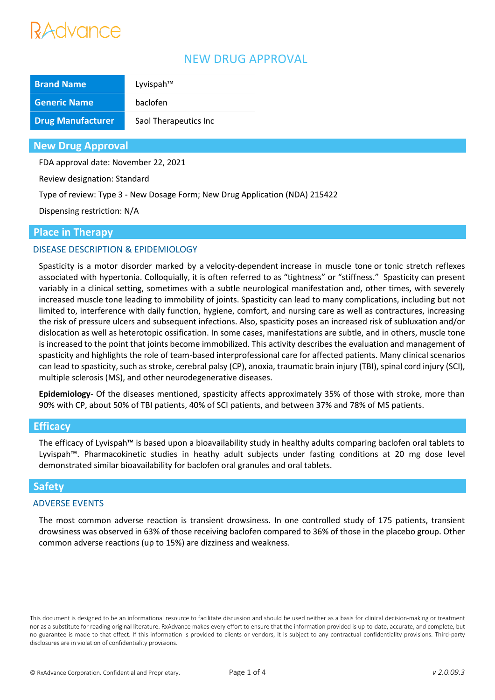# Advance

# NEW DRUG APPROVAL

| <b>Brand Name</b>        | Lyvispah™             |
|--------------------------|-----------------------|
| <b>Generic Name</b>      | baclofen              |
| <b>Drug Manufacturer</b> | Saol Therapeutics Inc |

## **New Drug Approval**

FDA approval date: November 22, 2021

Review designation: Standard

Type of review: Type 3 - New Dosage Form; New Drug Application (NDA) 215422

Dispensing restriction: N/A

## **Place in Therapy**

## DISEASE DESCRIPTION & EPIDEMIOLOGY

Spasticity is a motor disorder marked by a velocity-dependent increase in muscle tone or tonic stretch reflexes associated with hypertonia. Colloquially, it is often referred to as "tightness" or "stiffness." Spasticity can present variably in a clinical setting, sometimes with a subtle neurological manifestation and, other times, with severely increased muscle tone leading to immobility of joints. Spasticity can lead to many complications, including but not limited to, interference with daily function, hygiene, comfort, and nursing care as well as contractures, increasing the risk of pressure ulcers and subsequent infections. Also, spasticity poses an increased risk of subluxation and/or dislocation as well as heterotopic ossification. In some cases, manifestations are subtle, and in others, muscle tone is increased to the point that joints become immobilized. This activity describes the evaluation and management of spasticity and highlights the role of team-based interprofessional care for affected patients. Many clinical scenarios can lead to spasticity, such as stroke, cerebral palsy (CP), anoxia, traumatic brain injury (TBI), spinal cord injury (SCI), multiple sclerosis (MS), and other neurodegenerative diseases.

**Epidemiology**- Of the diseases mentioned, spasticity affects approximately 35% of those with stroke, more than 90% with CP, about 50% of TBI patients, 40% of SCI patients, and between 37% and 78% of MS patients.

#### **Efficacy**

The efficacy of Lyvispah™ is based upon a bioavailability study in healthy adults comparing baclofen oral tablets to Lyvispah™. Pharmacokinetic studies in heathy adult subjects under fasting conditions at 20 mg dose level demonstrated similar bioavailability for baclofen oral granules and oral tablets.

## **Safety**

#### ADVERSE EVENTS

The most common adverse reaction is transient drowsiness. In one controlled study of 175 patients, transient drowsiness was observed in 63% of those receiving baclofen compared to 36% of those in the placebo group. Other common adverse reactions (up to 15%) are dizziness and weakness.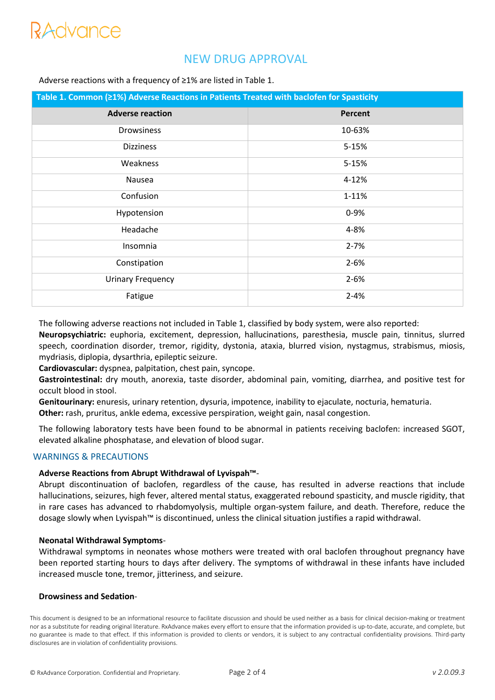# RAdvance

# NEW DRUG APPROVAL

#### Adverse reactions with a frequency of ≥1% are listed in Table 1.

| Table 1. Common (≥1%) Adverse Reactions in Patients Treated with baclofen for Spasticity |                |
|------------------------------------------------------------------------------------------|----------------|
| <b>Adverse reaction</b>                                                                  | <b>Percent</b> |
| <b>Drowsiness</b>                                                                        | 10-63%         |
| <b>Dizziness</b>                                                                         | 5-15%          |
| Weakness                                                                                 | 5-15%          |
| Nausea                                                                                   | 4-12%          |
| Confusion                                                                                | 1-11%          |
| Hypotension                                                                              | $0 - 9%$       |
| Headache                                                                                 | 4-8%           |
| Insomnia                                                                                 | $2 - 7%$       |
| Constipation                                                                             | $2 - 6%$       |
| <b>Urinary Frequency</b>                                                                 | $2 - 6%$       |
| Fatigue                                                                                  | $2 - 4%$       |

The following adverse reactions not included in Table 1, classified by body system, were also reported:

**Neuropsychiatric:** euphoria, excitement, depression, hallucinations, paresthesia, muscle pain, tinnitus, slurred speech, coordination disorder, tremor, rigidity, dystonia, ataxia, blurred vision, nystagmus, strabismus, miosis, mydriasis, diplopia, dysarthria, epileptic seizure.

**Cardiovascular:** dyspnea, palpitation, chest pain, syncope.

**Gastrointestinal:** dry mouth, anorexia, taste disorder, abdominal pain, vomiting, diarrhea, and positive test for occult blood in stool.

**Genitourinary:** enuresis, urinary retention, dysuria, impotence, inability to ejaculate, nocturia, hematuria.

**Other:** rash, pruritus, ankle edema, excessive perspiration, weight gain, nasal congestion.

The following laboratory tests have been found to be abnormal in patients receiving baclofen: increased SGOT, elevated alkaline phosphatase, and elevation of blood sugar.

#### WARNINGS & PRECAUTIONS

#### **Adverse Reactions from Abrupt Withdrawal of Lyvispah™**-

Abrupt discontinuation of baclofen, regardless of the cause, has resulted in adverse reactions that include hallucinations, seizures, high fever, altered mental status, exaggerated rebound spasticity, and muscle rigidity, that in rare cases has advanced to rhabdomyolysis, multiple organ-system failure, and death. Therefore, reduce the dosage slowly when Lyvispah™ is discontinued, unless the clinical situation justifies a rapid withdrawal.

#### **Neonatal Withdrawal Symptoms**-

Withdrawal symptoms in neonates whose mothers were treated with oral baclofen throughout pregnancy have been reported starting hours to days after delivery. The symptoms of withdrawal in these infants have included increased muscle tone, tremor, jitteriness, and seizure.

#### **Drowsiness and Sedation**-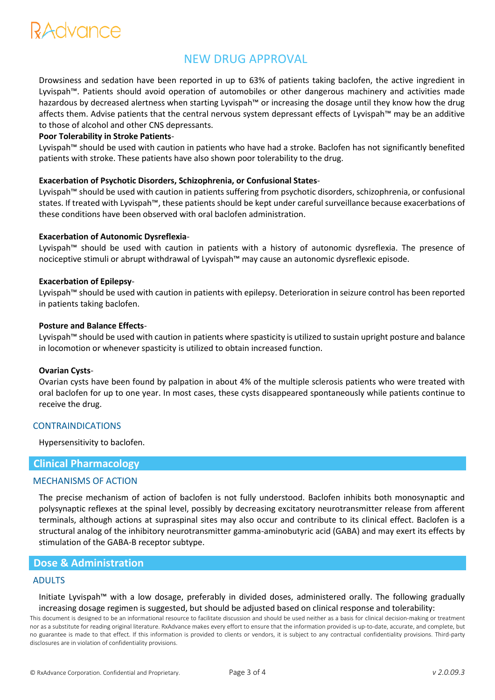# RAdvance

# NEW DRUG APPROVAL

Drowsiness and sedation have been reported in up to 63% of patients taking baclofen, the active ingredient in Lyvispah™. Patients should avoid operation of automobiles or other dangerous machinery and activities made hazardous by decreased alertness when starting Lyvispah™ or increasing the dosage until they know how the drug affects them. Advise patients that the central nervous system depressant effects of Lyvispah™ may be an additive to those of alcohol and other CNS depressants.

#### **Poor Tolerability in Stroke Patients**-

Lyvispah™ should be used with caution in patients who have had a stroke. Baclofen has not significantly benefited patients with stroke. These patients have also shown poor tolerability to the drug.

#### **Exacerbation of Psychotic Disorders, Schizophrenia, or Confusional States**-

Lyvispah™ should be used with caution in patients suffering from psychotic disorders, schizophrenia, or confusional states. If treated with Lyvispah™, these patients should be kept under careful surveillance because exacerbations of these conditions have been observed with oral baclofen administration.

#### **Exacerbation of Autonomic Dysreflexia**-

Lyvispah™ should be used with caution in patients with a history of autonomic dysreflexia. The presence of nociceptive stimuli or abrupt withdrawal of Lyvispah™ may cause an autonomic dysreflexic episode.

#### **Exacerbation of Epilepsy**-

Lyvispah™ should be used with caution in patients with epilepsy. Deterioration in seizure control has been reported in patients taking baclofen.

#### **Posture and Balance Effects**-

Lyvispah™ should be used with caution in patients where spasticity is utilized to sustain upright posture and balance in locomotion or whenever spasticity is utilized to obtain increased function.

#### **Ovarian Cysts**-

Ovarian cysts have been found by palpation in about 4% of the multiple sclerosis patients who were treated with oral baclofen for up to one year. In most cases, these cysts disappeared spontaneously while patients continue to receive the drug.

#### CONTRAINDICATIONS

Hypersensitivity to baclofen.

#### **Clinical Pharmacology**

#### MECHANISMS OF ACTION

The precise mechanism of action of baclofen is not fully understood. Baclofen inhibits both monosynaptic and polysynaptic reflexes at the spinal level, possibly by decreasing excitatory neurotransmitter release from afferent terminals, although actions at supraspinal sites may also occur and contribute to its clinical effect. Baclofen is a structural analog of the inhibitory neurotransmitter gamma-aminobutyric acid (GABA) and may exert its effects by stimulation of the GABA-B receptor subtype.

## **Dose & Administration**

#### ADULTS

Initiate Lyvispah™ with a low dosage, preferably in divided doses, administered orally. The following gradually increasing dosage regimen is suggested, but should be adjusted based on clinical response and tolerability: